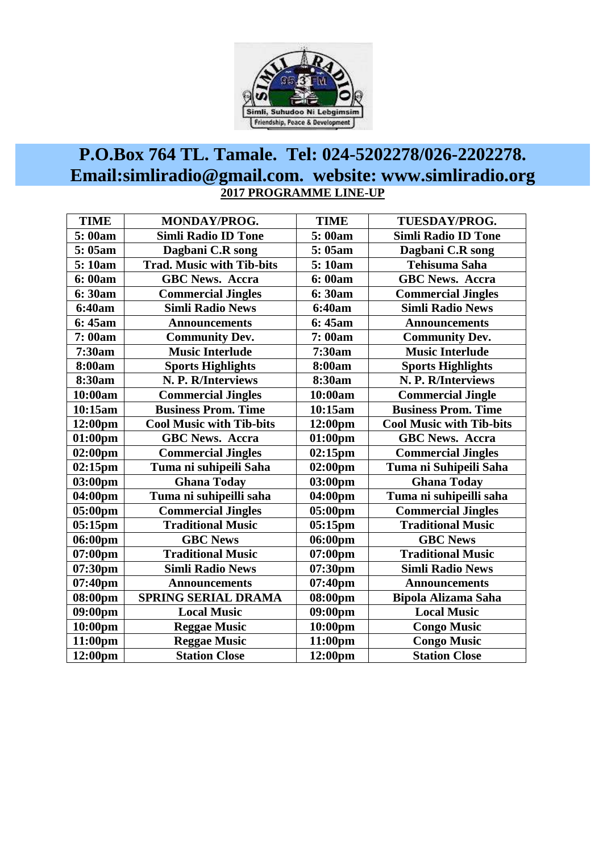

## **P.O.Box 764 TL. Tamale. Tel: 024-5202278/026-2202278. Email:simliradio@gmail.com. website: www.simliradio.org 2017 PROGRAMME LINE-UP**

| <b>TIME</b>                                | <b>MONDAY/PROG.</b>                  | <b>TIME</b>       | TUESDAY/PROG.                   |  |
|--------------------------------------------|--------------------------------------|-------------------|---------------------------------|--|
| 5:00am                                     | <b>Simli Radio ID Tone</b>           | 5:00am            | <b>Simli Radio ID Tone</b>      |  |
| 5:05am<br>Dagbani C.R song                 |                                      | 5:05am            | Dagbani C.R song                |  |
| <b>Trad. Music with Tib-bits</b><br>5:10am |                                      | 5:10am            | <b>Tehisuma Saha</b>            |  |
| 6:00am<br><b>GBC News. Accra</b>           |                                      | 6:00am            | <b>GBC News. Accra</b>          |  |
| 6:30am<br><b>Commercial Jingles</b>        |                                      | 6:30am            | <b>Commercial Jingles</b>       |  |
| <b>Simli Radio News</b><br>6:40am          |                                      | 6:40am            | <b>Simli Radio News</b>         |  |
| 6:45am                                     | <b>Announcements</b>                 | 6:45am            | <b>Announcements</b>            |  |
| 7:00am                                     | <b>Community Dev.</b>                | 7:00am            | <b>Community Dev.</b>           |  |
| 7:30am                                     | <b>Music Interlude</b>               | 7:30am            | <b>Music Interlude</b>          |  |
| 8:00am                                     | <b>Sports Highlights</b>             | 8:00am            | <b>Sports Highlights</b>        |  |
| 8:30am                                     | N. P. R/Interviews                   | 8:30am            | N. P. R/Interviews              |  |
| 10:00am                                    | <b>Commercial Jingles</b>            | 10:00am           | <b>Commercial Jingle</b>        |  |
| 10:15am                                    | <b>Business Prom. Time</b>           | 10:15am           | <b>Business Prom. Time</b>      |  |
| 12:00pm                                    | <b>Cool Music with Tib-bits</b>      | 12:00pm           | <b>Cool Music with Tib-bits</b> |  |
| 01:00pm                                    | <b>GBC News. Accra</b>               | 01:00pm           | <b>GBC News. Accra</b>          |  |
| $02:00 \text{pm}$                          | <b>Commercial Jingles</b>            | 02:15pm           | <b>Commercial Jingles</b>       |  |
| 02:15pm                                    | Tuma ni suhipeili Saha               | $02:00 \text{pm}$ | Tuma ni Suhipeili Saha          |  |
| 03:00pm                                    | <b>Ghana Today</b>                   | 03:00pm           | <b>Ghana Today</b>              |  |
| 04:00pm                                    | Tuma ni suhipeilli saha              | 04:00pm           | Tuma ni suhipeilli saha         |  |
| 05:00pm                                    | <b>Commercial Jingles</b><br>05:00pm |                   | <b>Commercial Jingles</b>       |  |
| $05:15$ pm                                 | <b>Traditional Music</b>             | $05:15$ pm        | <b>Traditional Music</b>        |  |
| 06:00pm                                    | <b>GBC News</b>                      | 06:00pm           | <b>GBC News</b>                 |  |
| 07:00pm                                    | <b>Traditional Music</b>             | 07:00pm           | <b>Traditional Music</b>        |  |
| 07:30pm                                    | <b>Simli Radio News</b>              | 07:30pm           | <b>Simli Radio News</b>         |  |
| 07:40pm                                    | <b>Announcements</b>                 | 07:40pm           | <b>Announcements</b>            |  |
| 08:00pm                                    | <b>SPRING SERIAL DRAMA</b>           | 08:00pm           | <b>Bipola Alizama Saha</b>      |  |
| 09:00pm                                    | <b>Local Music</b>                   | 09:00pm           | <b>Local Music</b>              |  |
| 10:00pm                                    | <b>Reggae Music</b>                  | 10:00pm           | <b>Congo Music</b>              |  |
| 11:00pm                                    | <b>Reggae Music</b>                  | 11:00pm           | <b>Congo Music</b>              |  |
| 12:00pm                                    | <b>Station Close</b>                 | 12:00pm           | <b>Station Close</b>            |  |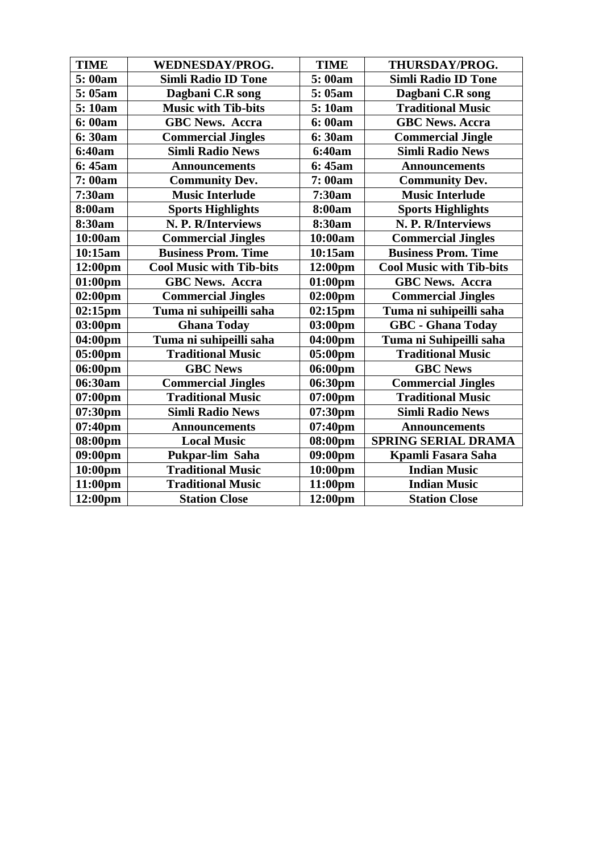| <b>TIME</b>         | <b>WEDNESDAY/PROG.</b>          | <b>TIME</b>         | THURSDAY/PROG.                  |  |
|---------------------|---------------------------------|---------------------|---------------------------------|--|
| 5:00am              | <b>Simli Radio ID Tone</b>      | 5:00am              | <b>Simli Radio ID Tone</b>      |  |
| 5:05am              | Dagbani C.R song                |                     | Dagbani C.R song                |  |
| 5:10am              | <b>Music with Tib-bits</b>      |                     | <b>Traditional Music</b>        |  |
| 6:00am              | <b>GBC News. Accra</b>          |                     | <b>GBC News. Accra</b>          |  |
| 6:30am              | <b>Commercial Jingles</b>       | 6:30am              | <b>Commercial Jingle</b>        |  |
| 6:40am              | <b>Simli Radio News</b>         | 6:40am              | <b>Simli Radio News</b>         |  |
| 6:45am              | <b>Announcements</b>            | 6:45am              | <b>Announcements</b>            |  |
| 7:00am              | <b>Community Dev.</b>           | 7:00am              | <b>Community Dev.</b>           |  |
| 7:30am              | <b>Music Interlude</b>          | 7:30am              | <b>Music Interlude</b>          |  |
| 8:00am              | <b>Sports Highlights</b>        | 8:00am              | <b>Sports Highlights</b>        |  |
| 8:30am              | N. P. R/Interviews              | 8:30am              | N. P. R/Interviews              |  |
| 10:00am             | <b>Commercial Jingles</b>       | 10:00am             | <b>Commercial Jingles</b>       |  |
| 10:15am             | <b>Business Prom. Time</b>      | 10:15am             | <b>Business Prom. Time</b>      |  |
| 12:00 <sub>pm</sub> | <b>Cool Music with Tib-bits</b> | 12:00 <sub>pm</sub> | <b>Cool Music with Tib-bits</b> |  |
| $01:00$ pm          | <b>GBC News. Accra</b>          | $01:00$ pm          | <b>GBC News. Accra</b>          |  |
| $02:00 \text{pm}$   | <b>Commercial Jingles</b>       | $02:00 \text{pm}$   | <b>Commercial Jingles</b>       |  |
| 02:15pm             | Tuma ni suhipeilli saha         | $02:15$ pm          | Tuma ni suhipeilli saha         |  |
| 03:00pm             | <b>Ghana Today</b>              | 03:00pm             | <b>GBC</b> - Ghana Today        |  |
| 04:00pm             | Tuma ni suhipeilli saha         | 04:00pm             | Tuma ni Suhipeilli saha         |  |
| 05:00pm             | <b>Traditional Music</b>        | 05:00pm             | <b>Traditional Music</b>        |  |
| 06:00pm             | <b>GBC News</b>                 | 06:00pm             | <b>GBC News</b>                 |  |
| 06:30am             | <b>Commercial Jingles</b>       | 06:30pm             | <b>Commercial Jingles</b>       |  |
| 07:00pm             | <b>Traditional Music</b>        | 07:00pm             | <b>Traditional Music</b>        |  |
| 07:30 <sub>pm</sub> | <b>Simli Radio News</b>         | 07:30 <sub>pm</sub> | <b>Simli Radio News</b>         |  |
| 07:40pm             | <b>Announcements</b>            | 07:40pm             | <b>Announcements</b>            |  |
| 08:00pm             | <b>Local Music</b>              | 08:00pm             | <b>SPRING SERIAL DRAMA</b>      |  |
| 09:00pm             | Pukpar-lim Saha                 | 09:00pm             | Kpamli Fasara Saha              |  |
| 10:00pm             | <b>Traditional Music</b>        | 10:00pm             | <b>Indian Music</b>             |  |
| 11:00pm             | <b>Traditional Music</b>        | 11:00pm             | <b>Indian Music</b>             |  |
| 12:00pm             | <b>Station Close</b>            | 12:00pm             | <b>Station Close</b>            |  |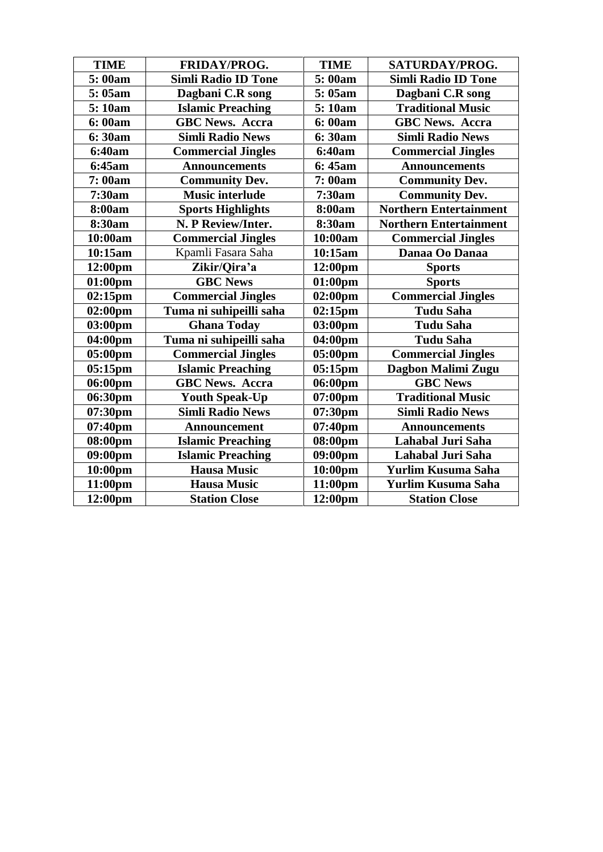| <b>TIME</b>                                | FRIDAY/PROG.              | <b>TIME</b>           | SATURDAY/PROG.                |  |
|--------------------------------------------|---------------------------|-----------------------|-------------------------------|--|
| 5:00am<br><b>Simli Radio ID Tone</b>       |                           | 5:00am                | <b>Simli Radio ID Tone</b>    |  |
| 5:05am<br>Dagbani C.R song                 |                           | 5:05am                | Dagbani C.R song              |  |
| 5:10am<br><b>Islamic Preaching</b>         |                           | 5:10am                | <b>Traditional Music</b>      |  |
| <b>GBC News. Accra</b><br>6:00am           |                           | 6:00am                | <b>GBC News. Accra</b>        |  |
| 6:30am                                     | <b>Simli Radio News</b>   | 6:30am                | <b>Simli Radio News</b>       |  |
| <b>6:40am</b><br><b>Commercial Jingles</b> |                           | 6:40am                | <b>Commercial Jingles</b>     |  |
| 6:45am<br><b>Announcements</b>             |                           | 6:45am                | <b>Announcements</b>          |  |
| 7:00am<br><b>Community Dev.</b><br>7:00am  |                           | <b>Community Dev.</b> |                               |  |
| 7:30am                                     | <b>Music interlude</b>    | 7:30am                | <b>Community Dev.</b>         |  |
| 8:00am                                     | <b>Sports Highlights</b>  | 8:00am                | <b>Northern Entertainment</b> |  |
| 8:30am                                     | N. P Review/Inter.        | 8:30am                | <b>Northern Entertainment</b> |  |
| 10:00am                                    | <b>Commercial Jingles</b> | 10:00am               | <b>Commercial Jingles</b>     |  |
| 10:15am                                    | Kpamli Fasara Saha        | 10:15am               | Danaa Oo Danaa                |  |
| 12:00 <sub>pm</sub>                        | Zikir/Qira'a              | 12:00 <sub>pm</sub>   | <b>Sports</b>                 |  |
| 01:00pm                                    | <b>GBC News</b>           | $01:00$ pm            | <b>Sports</b>                 |  |
| $02:15$ pm                                 | <b>Commercial Jingles</b> | $02:00 \text{pm}$     | <b>Commercial Jingles</b>     |  |
| 02:00pm                                    | Tuma ni suhipeilli saha   | 02:15pm               | <b>Tudu Saha</b>              |  |
| 03:00pm                                    | <b>Ghana Today</b>        | 03:00pm               | <b>Tudu Saha</b>              |  |
| 04:00pm                                    | Tuma ni suhipeilli saha   | 04:00pm               | <b>Tudu Saha</b>              |  |
| 05:00pm                                    | <b>Commercial Jingles</b> | 05:00pm               | <b>Commercial Jingles</b>     |  |
| $05:15$ pm                                 | <b>Islamic Preaching</b>  | $05:15$ pm            | Dagbon Malimi Zugu            |  |
| 06:00pm                                    | <b>GBC News. Accra</b>    | 06:00pm               | <b>GBC News</b>               |  |
| 06:30pm                                    | <b>Youth Speak-Up</b>     | 07:00pm               | <b>Traditional Music</b>      |  |
| 07:30pm                                    | <b>Simli Radio News</b>   | 07:30pm               | <b>Simli Radio News</b>       |  |
| 07:40pm                                    | <b>Announcement</b>       | 07:40pm               | <b>Announcements</b>          |  |
| 08:00pm                                    | <b>Islamic Preaching</b>  | 08:00pm               | Lahabal Juri Saha             |  |
| 09:00pm                                    | <b>Islamic Preaching</b>  | 09:00pm               | Lahabal Juri Saha             |  |
| 10:00pm                                    | <b>Hausa Music</b>        | $10:00$ pm            | <b>Yurlim Kusuma Saha</b>     |  |
| 11:00pm                                    | <b>Hausa Music</b>        | 11:00pm               | Yurlim Kusuma Saha            |  |
| 12:00pm                                    | <b>Station Close</b>      | 12:00pm               | <b>Station Close</b>          |  |